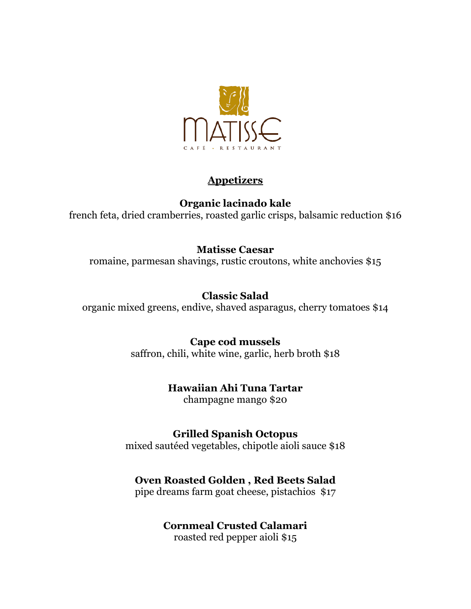

### **Appetizers**

## **Organic lacinado kale**

french feta, dried cramberries, roasted garlic crisps, balsamic reduction \$16

## **Matisse Caesar**

romaine, parmesan shavings, rustic croutons, white anchovies \$15

## **Classic Salad**

organic mixed greens, endive, shaved asparagus, cherry tomatoes \$14

#### **Cape cod mussels**

saffron, chili, white wine, garlic, herb broth \$18

# **Hawaiian Ahi Tuna Tartar**

champagne mango \$20

#### **Grilled Spanish Octopus**

mixed sautéed vegetables, chipotle aioli sauce \$18

## **Oven Roasted Golden , Red Beets Salad**

pipe dreams farm goat cheese, pistachios \$17

## **Cornmeal Crusted Calamari**

roasted red pepper aioli \$15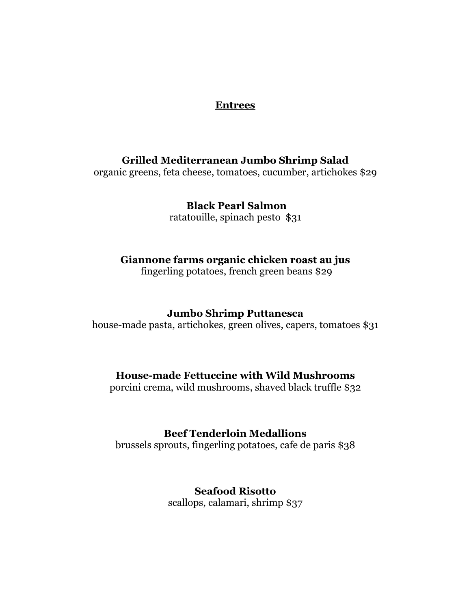#### **Entrees**

#### **Grilled Mediterranean Jumbo Shrimp Salad**

organic greens, feta cheese, tomatoes, cucumber, artichokes \$29

 **Black Pearl Salmon**  ratatouille, spinach pesto \$31

#### **Giannone farms organic chicken roast au jus**

fingerling potatoes, french green beans \$29

#### **Jumbo Shrimp Puttanesca**

house-made pasta, artichokes, green olives, capers, tomatoes \$31

#### **House-made Fettuccine with Wild Mushrooms**

porcini crema, wild mushrooms, shaved black truffle \$32

#### **Beef Tenderloin Medallions**

brussels sprouts, fingerling potatoes, cafe de paris \$38

# **Seafood Risotto**

scallops, calamari, shrimp \$37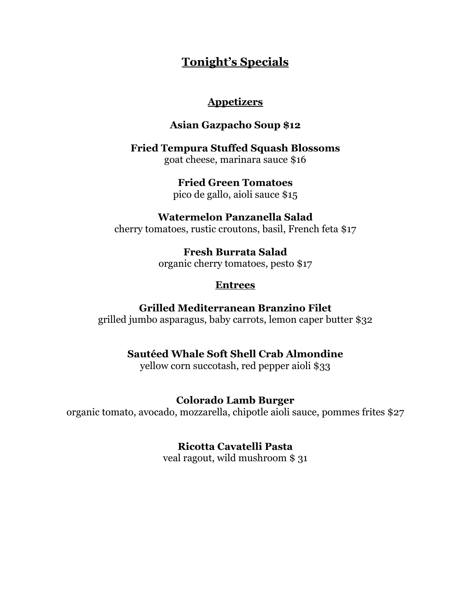# **Tonight's Specials**

#### **Appetizers**

### **Asian Gazpacho Soup \$12**

**Fried Tempura Stuffed Squash Blossoms** goat cheese, marinara sauce \$16

> **Fried Green Tomatoes** pico de gallo, aioli sauce \$15

**Watermelon Panzanella Salad** cherry tomatoes, rustic croutons, basil, French feta \$17

> **Fresh Burrata Salad** organic cherry tomatoes, pesto \$17

### **Entrees**

## **Grilled Mediterranean Branzino Filet**

grilled jumbo asparagus, baby carrots, lemon caper butter \$32

# **Sautéed Whale Soft Shell Crab Almondine**

yellow corn succotash, red pepper aioli \$33

## **Colorado Lamb Burger**

organic tomato, avocado, mozzarella, chipotle aioli sauce, pommes frites \$27

## **Ricotta Cavatelli Pasta**

veal ragout, wild mushroom \$ 31